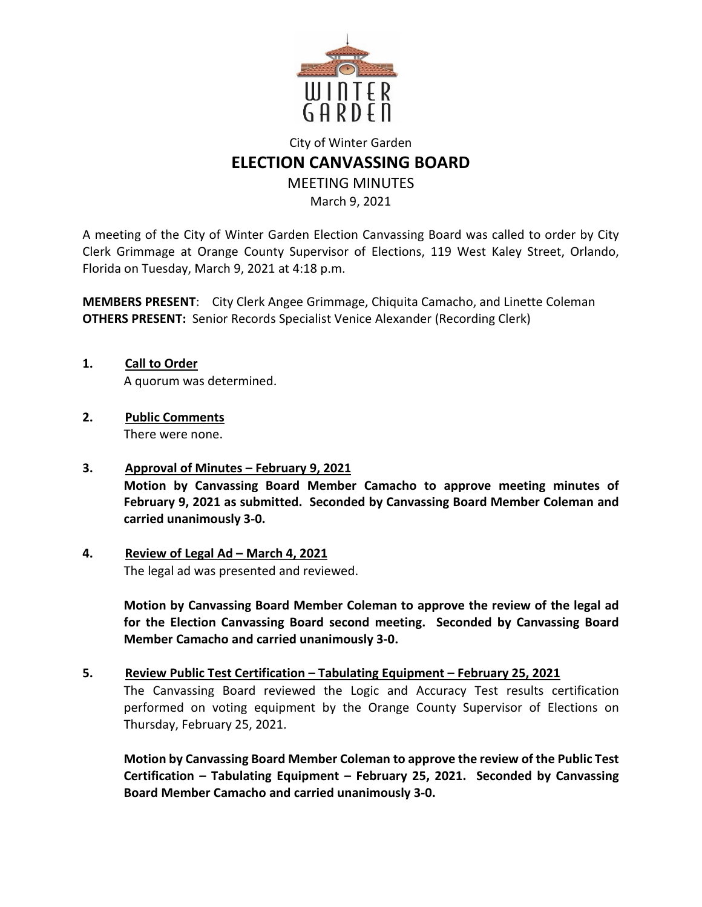

# City of Winter Garden **ELECTION CANVASSING BOARD**  MEETING MINUTES

March 9, 2021

A meeting of the City of Winter Garden Election Canvassing Board was called to order by City Clerk Grimmage at Orange County Supervisor of Elections, 119 West Kaley Street, Orlando, Florida on Tuesday, March 9, 2021 at 4:18 p.m.

**MEMBERS PRESENT**: City Clerk Angee Grimmage, Chiquita Camacho, and Linette Coleman **OTHERS PRESENT:** Senior Records Specialist Venice Alexander (Recording Clerk)

- **1. Call to Order**  A quorum was determined.
- **2. Public Comments**  There were none.
- **3. Approval of Minutes February 9, 2021 Motion by Canvassing Board Member Camacho to approve meeting minutes of February 9, 2021 as submitted. Seconded by Canvassing Board Member Coleman and carried unanimously 3-0.**
- **4. Review of Legal Ad March 4, 2021**

The legal ad was presented and reviewed.

**Motion by Canvassing Board Member Coleman to approve the review of the legal ad for the Election Canvassing Board second meeting. Seconded by Canvassing Board Member Camacho and carried unanimously 3-0.** 

## **5. Review Public Test Certification – Tabulating Equipment – February 25, 2021**

The Canvassing Board reviewed the Logic and Accuracy Test results certification performed on voting equipment by the Orange County Supervisor of Elections on Thursday, February 25, 2021.

**Motion by Canvassing Board Member Coleman to approve the review of the Public Test Certification – Tabulating Equipment – February 25, 2021. Seconded by Canvassing Board Member Camacho and carried unanimously 3-0.**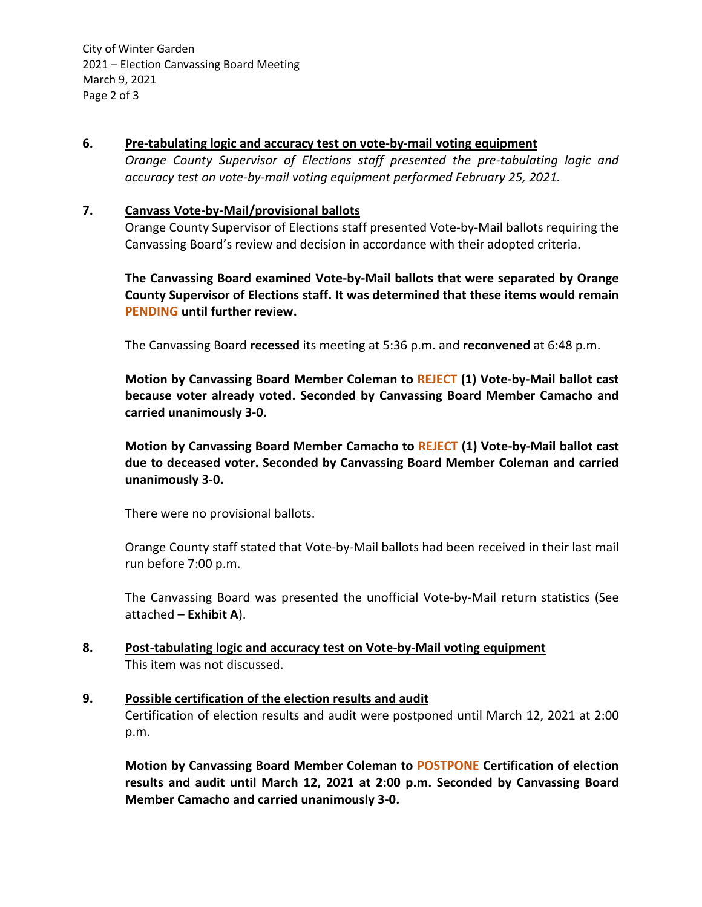2021 – Election Canvassing Board Meeting March 9, 2021 Page 2 of 3 City of Winter Garden

#### **6. Pre-tabulating logic and accuracy test on vote-by-mail voting equipment**

*Orange County Supervisor of Elections staff presented the pre-tabulating logic and accuracy test on vote-by-mail voting equipment performed February 25, 2021.* 

#### **7. Canvass Vote-by-Mail/provisional ballots**

Orange County Supervisor of Elections staff presented Vote-by-Mail ballots requiring the Canvassing Board's review and decision in accordance with their adopted criteria.

**The Canvassing Board examined Vote-by-Mail ballots that were separated by Orange County Supervisor of Elections staff. It was determined that these items would remain PENDING until further review.** 

The Canvassing Board **recessed** its meeting at 5:36 p.m. and **reconvened** at 6:48 p.m.

**Motion by Canvassing Board Member Coleman to REJECT (1) Vote-by-Mail ballot cast because voter already voted. Seconded by Canvassing Board Member Camacho and carried unanimously 3-0.** 

**Motion by Canvassing Board Member Camacho to REJECT (1) Vote-by-Mail ballot cast due to deceased voter. Seconded by Canvassing Board Member Coleman and carried unanimously 3-0.** 

There were no provisional ballots.

Orange County staff stated that Vote-by-Mail ballots had been received in their last mail run before 7:00 p.m.

The Canvassing Board was presented the unofficial Vote-by-Mail return statistics (See attached – **Exhibit A**).

## **8. Post-tabulating logic and accuracy test on Vote-by-Mail voting equipment**  This item was not discussed.

## **9. Possible certification of the election results and audit**

Certification of election results and audit were postponed until March 12, 2021 at 2:00 p.m.

**Motion by Canvassing Board Member Coleman to POSTPONE Certification of election results and audit until March 12, 2021 at 2:00 p.m. Seconded by Canvassing Board Member Camacho and carried unanimously 3-0.**